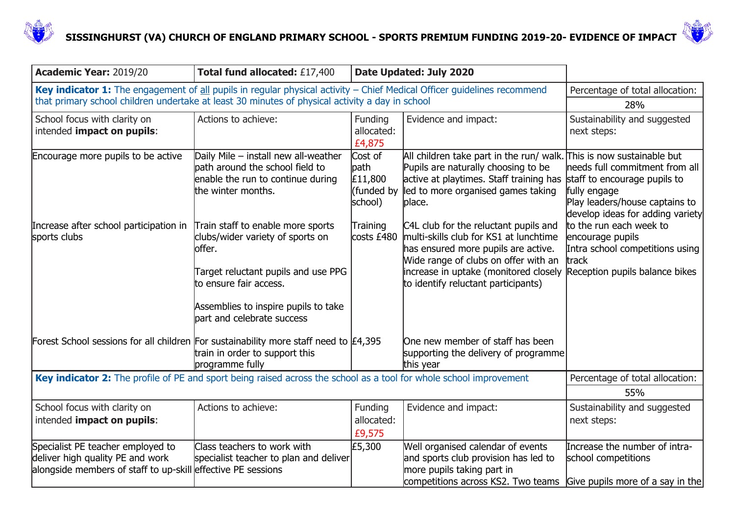

## **SISSINGHURST (VA) CHURCH OF ENGLAND PRIMARY SCHOOL - SPORTS PREMIUM FUNDING 2019-20- EVIDENCE OF IMPACT**



| Academic Year: 2019/20                                                                                                                                                                                                     | Total fund allocated: £17,400                                                                                                                                                             | Date Updated: July 2020                             |                                                                                                                                                                                                                                                                               |                                                                                                                                                      |
|----------------------------------------------------------------------------------------------------------------------------------------------------------------------------------------------------------------------------|-------------------------------------------------------------------------------------------------------------------------------------------------------------------------------------------|-----------------------------------------------------|-------------------------------------------------------------------------------------------------------------------------------------------------------------------------------------------------------------------------------------------------------------------------------|------------------------------------------------------------------------------------------------------------------------------------------------------|
| Key indicator 1: The engagement of all pupils in regular physical activity - Chief Medical Officer guidelines recommend<br>that primary school children undertake at least 30 minutes of physical activity a day in school |                                                                                                                                                                                           |                                                     | Percentage of total allocation:<br>28%                                                                                                                                                                                                                                        |                                                                                                                                                      |
| School focus with clarity on<br>intended impact on pupils:                                                                                                                                                                 | Actions to achieve:                                                                                                                                                                       | Funding<br>allocated:<br>£4,875                     | Evidence and impact:                                                                                                                                                                                                                                                          | Sustainability and suggested<br>next steps:                                                                                                          |
| Encourage more pupils to be active                                                                                                                                                                                         | Daily Mile - install new all-weather<br>lpath around the school field to<br>enable the run to continue during<br>the winter months.                                                       | Cost of<br>path<br>£11,800<br>(funded by<br>school) | All children take part in the run/ walk. This is now sustainable but<br>Pupils are naturally choosing to be<br>active at playtimes. Staff training has<br>led to more organised games taking<br>place.                                                                        | needs full commitment from all<br>staff to encourage pupils to<br>fully engage<br>Play leaders/house captains to<br>develop ideas for adding variety |
| Increase after school participation in<br>sports clubs                                                                                                                                                                     | Train staff to enable more sports<br>clubs/wider variety of sports on<br>loffer.<br>Target reluctant pupils and use PPG<br>to ensure fair access.<br>Assemblies to inspire pupils to take | Training<br>costs £480                              | C4L club for the reluctant pupils and<br>multi-skills club for KS1 at lunchtime<br>has ensured more pupils are active.<br>Wide range of clubs on offer with an<br>increase in uptake (monitored closely Reception pupils balance bikes<br>to identify reluctant participants) | to the run each week to<br>encourage pupils<br>Intra school competitions using<br>track                                                              |
| Forest School sessions for all children For sustainability more staff need to $E4,395$                                                                                                                                     | part and celebrate success<br>train in order to support this<br>programme fully                                                                                                           |                                                     | One new member of staff has been<br>supporting the delivery of programme<br>this year                                                                                                                                                                                         |                                                                                                                                                      |
| Key indicator 2: The profile of PE and sport being raised across the school as a tool for whole school improvement                                                                                                         |                                                                                                                                                                                           |                                                     | Percentage of total allocation:<br>55%                                                                                                                                                                                                                                        |                                                                                                                                                      |
| School focus with clarity on<br>intended impact on pupils:                                                                                                                                                                 | Actions to achieve:                                                                                                                                                                       | Funding<br>allocated:<br>£9,575                     | Evidence and impact:                                                                                                                                                                                                                                                          | Sustainability and suggested<br>next steps:                                                                                                          |
| Specialist PE teacher employed to<br>deliver high quality PE and work<br>alongside members of staff to up-skill effective PE sessions                                                                                      | Class teachers to work with<br>specialist teacher to plan and deliver                                                                                                                     | £5,300                                              | Well organised calendar of events<br>and sports club provision has led to<br>more pupils taking part in<br>competitions across KS2. Two teams                                                                                                                                 | Increase the number of intra-<br>school competitions<br>Give pupils more of a say in the                                                             |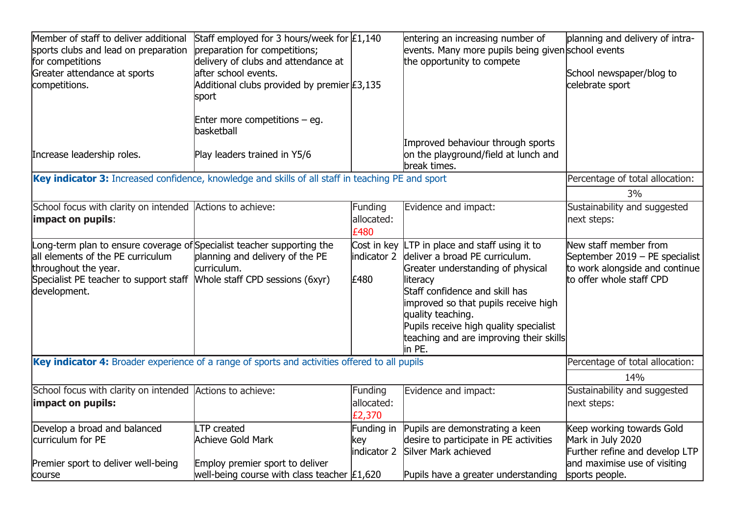| Member of staff to deliver additional<br>sports clubs and lead on preparation<br>for competitions<br>Greater attendance at sports<br>competitions.                                            | Staff employed for 3 hours/week for $£1,140$<br>preparation for competitions;<br>delivery of clubs and attendance at<br>after school events.<br>Additional clubs provided by premier $\text{\pounds}3,135$<br> sport |                                  | entering an increasing number of<br>events. Many more pupils being given school events<br>the opportunity to compete                                                                                                                                                                                                               | planning and delivery of intra-<br>School newspaper/blog to<br>celebrate sport                                        |
|-----------------------------------------------------------------------------------------------------------------------------------------------------------------------------------------------|----------------------------------------------------------------------------------------------------------------------------------------------------------------------------------------------------------------------|----------------------------------|------------------------------------------------------------------------------------------------------------------------------------------------------------------------------------------------------------------------------------------------------------------------------------------------------------------------------------|-----------------------------------------------------------------------------------------------------------------------|
| Increase leadership roles.                                                                                                                                                                    | Enter more competitions $-$ eg.<br>basketball<br>Play leaders trained in Y5/6                                                                                                                                        |                                  | Improved behaviour through sports<br>on the playground/field at lunch and<br>break times.                                                                                                                                                                                                                                          |                                                                                                                       |
| Key indicator 3: Increased confidence, knowledge and skills of all staff in teaching PE and sport                                                                                             |                                                                                                                                                                                                                      |                                  |                                                                                                                                                                                                                                                                                                                                    | Percentage of total allocation:                                                                                       |
|                                                                                                                                                                                               |                                                                                                                                                                                                                      |                                  |                                                                                                                                                                                                                                                                                                                                    | 3%                                                                                                                    |
| School focus with clarity on intended Actions to achieve:<br>impact on pupils:                                                                                                                |                                                                                                                                                                                                                      | Funding<br>allocated:<br>£480    | Evidence and impact:                                                                                                                                                                                                                                                                                                               | Sustainability and suggested<br>next steps:                                                                           |
| Long-term plan to ensure coverage of Specialist teacher supporting the<br>all elements of the PE curriculum<br>throughout the year.<br>Specialist PE teacher to support staff<br>development. | planning and delivery of the PE<br>lcurriculum.<br>Whole staff CPD sessions (6xyr)                                                                                                                                   | indicator 2<br>£480              | Cost in key $LTP$ in place and staff using it to<br>deliver a broad PE curriculum.<br>Greater understanding of physical<br>lliteracy<br>Staff confidence and skill has<br>improved so that pupils receive high<br>quality teaching.<br>Pupils receive high quality specialist<br>teaching and are improving their skills<br>in PE. | New staff member from<br>September 2019 - PE specialist<br>to work alongside and continue<br>to offer whole staff CPD |
| Key indicator 4: Broader experience of a range of sports and activities offered to all pupils                                                                                                 | Percentage of total allocation:                                                                                                                                                                                      |                                  |                                                                                                                                                                                                                                                                                                                                    |                                                                                                                       |
|                                                                                                                                                                                               |                                                                                                                                                                                                                      |                                  |                                                                                                                                                                                                                                                                                                                                    | 14%                                                                                                                   |
| School focus with clarity on intended Actions to achieve:<br>impact on pupils:                                                                                                                |                                                                                                                                                                                                                      | Funding<br>allocated:<br>£2,370  | Evidence and impact:                                                                                                                                                                                                                                                                                                               | Sustainability and suggested<br>next steps:                                                                           |
| Develop a broad and balanced<br>curriculum for PE                                                                                                                                             | LTP created<br>Achieve Gold Mark                                                                                                                                                                                     | Funding in<br>key<br>indicator 2 | Pupils are demonstrating a keen<br>desire to participate in PE activities<br>Silver Mark achieved                                                                                                                                                                                                                                  | Keep working towards Gold<br>Mark in July 2020<br>Further refine and develop LTP                                      |
| Premier sport to deliver well-being<br>course                                                                                                                                                 | Employ premier sport to deliver<br>well-being course with class teacher $\vert \text{\pounds}{1,620} \vert$                                                                                                          |                                  | Pupils have a greater understanding                                                                                                                                                                                                                                                                                                | and maximise use of visiting<br>sports people.                                                                        |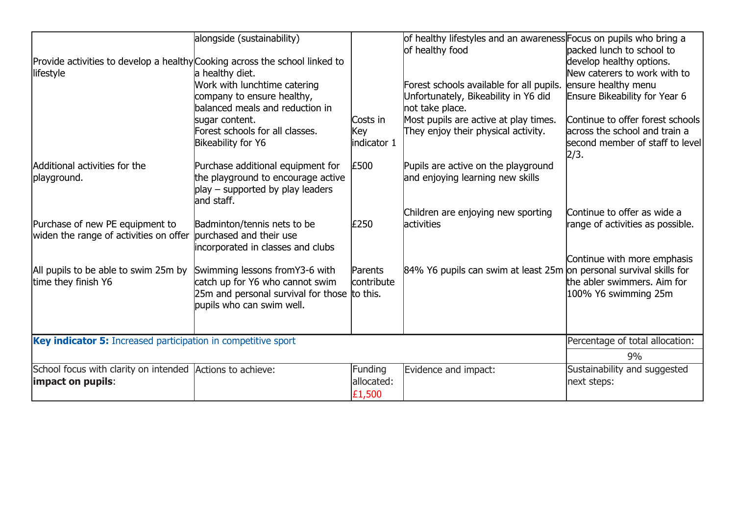|                                                                             | alongside (sustainability)                                                    |             | of healthy lifestyles and an awareness Focus on pupils who bring a  |                                         |
|-----------------------------------------------------------------------------|-------------------------------------------------------------------------------|-------------|---------------------------------------------------------------------|-----------------------------------------|
|                                                                             |                                                                               |             | of healthy food                                                     | packed lunch to school to               |
| Provide activities to develop a healthy Cooking across the school linked to |                                                                               |             |                                                                     | develop healthy options.                |
| lifestyle                                                                   | a healthy diet.                                                               |             |                                                                     | New caterers to work with to            |
|                                                                             | Work with lunchtime catering                                                  |             | Forest schools available for all pupils.                            | ensure healthy menu                     |
|                                                                             | company to ensure healthy,<br>balanced meals and reduction in                 |             | Unfortunately, Bikeability in Y6 did<br>not take place.             | Ensure Bikeability for Year 6           |
|                                                                             | sugar content.                                                                | Costs in    | Most pupils are active at play times.                               | Continue to offer forest schools        |
|                                                                             | Forest schools for all classes.                                               | Key         | They enjoy their physical activity.                                 | across the school and train a           |
|                                                                             | Bikeability for Y6                                                            | indicator 1 |                                                                     | second member of staff to level<br>2/3. |
| Additional activities for the                                               | Purchase additional equipment for                                             | <b>E500</b> | Pupils are active on the playground                                 |                                         |
| playground.                                                                 | the playground to encourage active                                            |             | and enjoying learning new skills                                    |                                         |
|                                                                             | play – supported by play leaders<br>and staff.                                |             |                                                                     |                                         |
|                                                                             |                                                                               |             | Children are enjoying new sporting                                  | Continue to offer as wide a             |
| Purchase of new PE equipment to<br>widen the range of activities on offer   | Badminton/tennis nets to be<br>purchased and their use                        | £250        | lactivities                                                         | range of activities as possible.        |
|                                                                             | incorporated in classes and clubs                                             |             |                                                                     |                                         |
| All pupils to be able to swim 25m by                                        | Swimming lessons fromY3-6 with                                                | Parents     | 84% Y6 pupils can swim at least 25m on personal survival skills for | Continue with more emphasis             |
| time they finish Y6                                                         | catch up for Y6 who cannot swim                                               | contribute  |                                                                     | the abler swimmers. Aim for             |
|                                                                             | 25m and personal survival for those $ $ to this.<br>pupils who can swim well. |             |                                                                     | 100% Y6 swimming 25m                    |
|                                                                             |                                                                               |             |                                                                     |                                         |
| Key indicator 5: Increased participation in competitive sport               |                                                                               |             | Percentage of total allocation:                                     |                                         |
|                                                                             |                                                                               |             |                                                                     | 9%                                      |
| School focus with clarity on intended Actions to achieve:                   |                                                                               | Funding     | Evidence and impact:                                                | Sustainability and suggested            |
| impact on pupils:                                                           |                                                                               | allocated:  |                                                                     | next steps:                             |
|                                                                             |                                                                               | £1,500      |                                                                     |                                         |